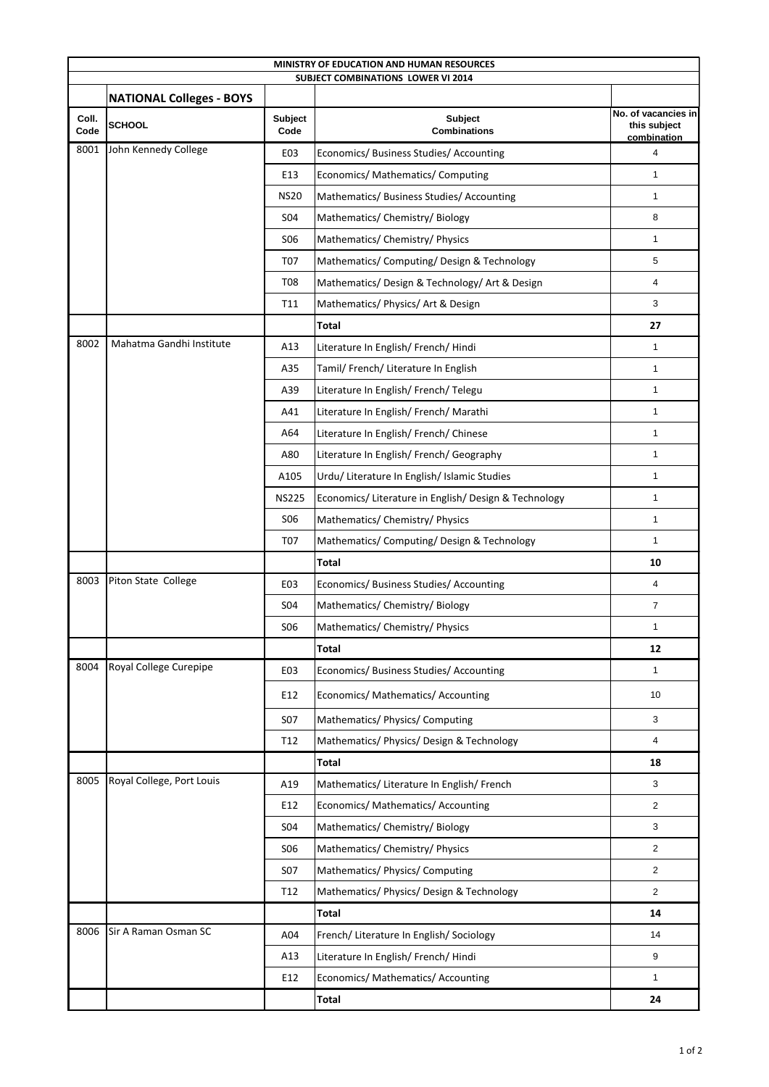| MINISTRY OF EDUCATION AND HUMAN RESOURCES<br><b>SUBJECT COMBINATIONS LOWER VI 2014</b> |                                 |                 |                                                       |                                                    |  |  |  |
|----------------------------------------------------------------------------------------|---------------------------------|-----------------|-------------------------------------------------------|----------------------------------------------------|--|--|--|
|                                                                                        | <b>NATIONAL Colleges - BOYS</b> |                 |                                                       |                                                    |  |  |  |
| Coll.<br>Code                                                                          | <b>SCHOOL</b>                   | Subject<br>Code | Subject<br><b>Combinations</b>                        | No. of vacancies in<br>this subject<br>combination |  |  |  |
| 8001                                                                                   | John Kennedy College            | E03             | Economics/ Business Studies/ Accounting               | $\overline{4}$                                     |  |  |  |
|                                                                                        |                                 | E13             | Economics/ Mathematics/ Computing                     | 1                                                  |  |  |  |
|                                                                                        |                                 | <b>NS20</b>     | Mathematics/ Business Studies/ Accounting             | $\mathbf{1}$                                       |  |  |  |
|                                                                                        |                                 | <b>S04</b>      | Mathematics/ Chemistry/ Biology                       | 8                                                  |  |  |  |
|                                                                                        |                                 | S <sub>06</sub> | Mathematics/ Chemistry/ Physics                       | $\mathbf{1}$                                       |  |  |  |
|                                                                                        |                                 | <b>T07</b>      | Mathematics/ Computing/ Design & Technology           | $\,$ 5 $\,$                                        |  |  |  |
|                                                                                        |                                 | <b>T08</b>      | Mathematics/ Design & Technology/ Art & Design        | 4                                                  |  |  |  |
|                                                                                        |                                 | T11             | Mathematics/ Physics/ Art & Design                    | 3                                                  |  |  |  |
|                                                                                        |                                 |                 | <b>Total</b>                                          | 27                                                 |  |  |  |
| 8002                                                                                   | Mahatma Gandhi Institute        | A13             | Literature In English/ French/ Hindi                  | $\mathbf{1}$                                       |  |  |  |
|                                                                                        |                                 | A35             | Tamil/ French/ Literature In English                  | 1                                                  |  |  |  |
|                                                                                        |                                 | A39             | Literature In English/French/Telegu                   | 1                                                  |  |  |  |
|                                                                                        |                                 | A41             | Literature In English/French/Marathi                  | $\mathbf{1}$                                       |  |  |  |
|                                                                                        |                                 | A64             | Literature In English/French/Chinese                  | $\mathbf{1}$                                       |  |  |  |
|                                                                                        |                                 | A80             | Literature In English/ French/ Geography              | 1                                                  |  |  |  |
|                                                                                        |                                 | A105            | Urdu/ Literature In English/ Islamic Studies          | 1                                                  |  |  |  |
|                                                                                        |                                 | <b>NS225</b>    | Economics/ Literature in English/ Design & Technology | $\mathbf{1}$                                       |  |  |  |
|                                                                                        |                                 | S <sub>06</sub> | Mathematics/ Chemistry/ Physics                       | $\mathbf{1}$                                       |  |  |  |
|                                                                                        |                                 | <b>T07</b>      | Mathematics/ Computing/ Design & Technology           | $\mathbf{1}$                                       |  |  |  |
|                                                                                        |                                 |                 | Total                                                 | 10                                                 |  |  |  |
| 8003                                                                                   | Piton State College             | E03             | Economics/Business Studies/Accounting                 | 4                                                  |  |  |  |
|                                                                                        |                                 | S04             | Mathematics/ Chemistry/ Biology                       | $\overline{7}$                                     |  |  |  |
|                                                                                        |                                 | <b>SO6</b>      | Mathematics/ Chemistry/ Physics                       | 1                                                  |  |  |  |
|                                                                                        |                                 |                 | <b>Total</b>                                          | 12                                                 |  |  |  |
| 8004                                                                                   | Royal College Curepipe          | E03             | Economics/ Business Studies/ Accounting               | $\mathbf{1}$                                       |  |  |  |
|                                                                                        |                                 | E12             | Economics/ Mathematics/ Accounting                    | 10                                                 |  |  |  |
|                                                                                        |                                 | S07             | Mathematics/ Physics/ Computing                       | 3                                                  |  |  |  |
|                                                                                        |                                 | T12             | Mathematics/ Physics/ Design & Technology             | $\overline{4}$                                     |  |  |  |
|                                                                                        |                                 |                 | Total                                                 | 18                                                 |  |  |  |
| 8005                                                                                   | Royal College, Port Louis       | A19             | Mathematics/ Literature In English/ French            | 3                                                  |  |  |  |
|                                                                                        |                                 | E12             | Economics/ Mathematics/ Accounting                    | $\overline{2}$                                     |  |  |  |
|                                                                                        |                                 | S04             | Mathematics/ Chemistry/ Biology                       | $\mathbf{3}$                                       |  |  |  |
|                                                                                        |                                 | <b>SO6</b>      | Mathematics/ Chemistry/ Physics                       | $\overline{2}$                                     |  |  |  |
|                                                                                        |                                 | <b>S07</b>      | Mathematics/ Physics/ Computing                       | 2                                                  |  |  |  |
|                                                                                        |                                 | T12             | Mathematics/ Physics/ Design & Technology             | $\overline{2}$                                     |  |  |  |
|                                                                                        |                                 |                 | <b>Total</b>                                          | 14                                                 |  |  |  |
| 8006                                                                                   | Sir A Raman Osman SC            | A04             | French/ Literature In English/ Sociology              | 14                                                 |  |  |  |
|                                                                                        |                                 | A13             | Literature In English/French/Hindi                    | 9                                                  |  |  |  |
|                                                                                        |                                 | E12             | Economics/ Mathematics/ Accounting                    | $\mathbf{1}$                                       |  |  |  |
|                                                                                        |                                 |                 | Total                                                 | 24                                                 |  |  |  |